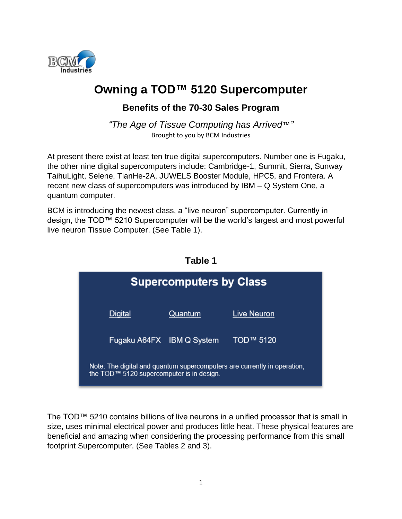

# **Owning a TOD™ 5120 Supercomputer**

# **Benefits of the 70-30 Sales Program**

*"The Age of Tissue Computing has Arrived*™*"* Brought to you by BCM Industries

At present there exist at least ten true digital supercomputers. Number one is Fugaku, the other nine digital supercomputers include: Cambridge-1, Summit, Sierra, Sunway TaihuLight, Selene, TianHe-2A, JUWELS Booster Module, HPC5, and Frontera. A recent new class of supercomputers was introduced by IBM – Q System One, a quantum computer.

BCM is introducing the newest class, a "live neuron" supercomputer. Currently in design, the TOD™ 5210 Supercomputer will be the world's largest and most powerful live neuron Tissue Computer. (See Table 1).

**Table 1**

| rabie 1                                                                                                               |         |             |  |  |
|-----------------------------------------------------------------------------------------------------------------------|---------|-------------|--|--|
| <b>Supercomputers by Class</b>                                                                                        |         |             |  |  |
| <b>Digital</b>                                                                                                        | Quantum | Live Neuron |  |  |
| Fugaku A64FX IBM Q System                                                                                             |         | TOD™ 5120   |  |  |
| Note: The digital and quantum supercomputers are currently in operation,<br>the TOD™ 5120 supercomputer is in design. |         |             |  |  |

The TOD™ 5210 contains billions of live neurons in a unified processor that is small in size, uses minimal electrical power and produces little heat. These physical features are beneficial and amazing when considering the processing performance from this small footprint Supercomputer. (See Tables 2 and 3).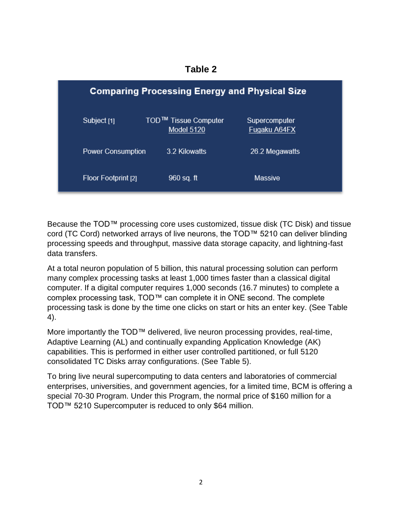| <b>Comparing Processing Energy and Physical Size</b> |                                                |                               |
|------------------------------------------------------|------------------------------------------------|-------------------------------|
| Subject [1]                                          | TOD <sup>™</sup> Tissue Computer<br>Model 5120 | Supercomputer<br>Fugaku A64FX |
| <b>Power Consumption</b>                             | 3.2 Kilowatts                                  | 26.2 Megawatts                |
| Floor Footprint [2]                                  | 960 sq. ft                                     | Massive                       |

Because the TOD™ processing core uses customized, tissue disk (TC Disk) and tissue cord (TC Cord) networked arrays of live neurons, the TOD™ 5210 can deliver blinding processing speeds and throughput, massive data storage capacity, and lightning-fast data transfers.

At a total neuron population of 5 billion, this natural processing solution can perform many complex processing tasks at least 1,000 times faster than a classical digital computer. If a digital computer requires 1,000 seconds (16.7 minutes) to complete a complex processing task, TOD™ can complete it in ONE second. The complete processing task is done by the time one clicks on start or hits an enter key. (See Table 4).

More importantly the TOD™ delivered, live neuron processing provides, real-time, Adaptive Learning (AL) and continually expanding Application Knowledge (AK) capabilities. This is performed in either user controlled partitioned, or full 5120 consolidated TC Disks array configurations. (See Table 5).

To bring live neural supercomputing to data centers and laboratories of commercial enterprises, universities, and government agencies, for a limited time, BCM is offering a special 70-30 Program. Under this Program, the normal price of \$160 million for a TOD™ 5210 Supercomputer is reduced to only \$64 million.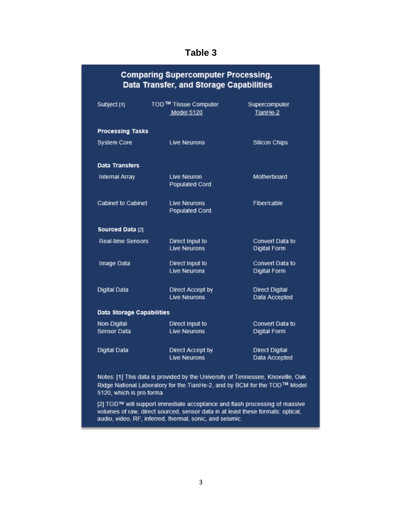# **Table 3**

| <b>Comparing Supercomputer Processing,</b><br>Data Transfer, and Storage Capabilities |                                                       |                                        |  |
|---------------------------------------------------------------------------------------|-------------------------------------------------------|----------------------------------------|--|
| Subject [1]                                                                           | TOD <sup>™</sup> Tissue Computer<br><b>Model 5120</b> | Supercomputer<br>TianHe-2              |  |
| <b>Processing Tasks</b>                                                               |                                                       |                                        |  |
| <b>System Core</b>                                                                    | <b>Live Neurons</b>                                   | <b>Silicon Chips</b>                   |  |
| Data Transfers                                                                        |                                                       |                                        |  |
| <b>Internal Array</b>                                                                 | Live Neuron<br><b>Populated Cord</b>                  | Motherboard                            |  |
| Cabinet to Cabinet                                                                    | <b>Live Neurons</b><br>Populated Cord                 | Fiber/cable                            |  |
| Sourced Data [2]                                                                      |                                                       |                                        |  |
| Real-time Sensors                                                                     | Direct Input to<br><b>Live Neurons</b>                | Convert Data to<br><b>Digital Form</b> |  |
| Image Data                                                                            | Direct Input to<br><b>Live Neurons</b>                | Convert Data to<br><b>Digital Form</b> |  |
| Digital Data                                                                          | Direct Accept by<br><b>Live Neurons</b>               | <b>Direct Digital</b><br>Data Accepted |  |
| Data Storage Capabilities                                                             |                                                       |                                        |  |
| Non-Digital<br>Sensor Data                                                            | Direct Input to<br><b>Live Neurons</b>                | Convert Data to<br>Digital Form        |  |
| Digital Data                                                                          | Direct Accept by<br><b>Live Neurons</b>               | <b>Direct Digital</b><br>Data Accepted |  |

Notes: [1] This data is provided by the University of Tennessee, Knoxville, Oak Ridge National Laboratory for the TianHe-2, and by BCM for the TOD™ Model 5120, which is pro forma.

[2] TOD™ will support immediate acceptance and flash processing of massive volumes of raw, direct sourced, sensor data in at least these formats: optical, audio, video, RF, inferred, thermal, sonic, and seismic.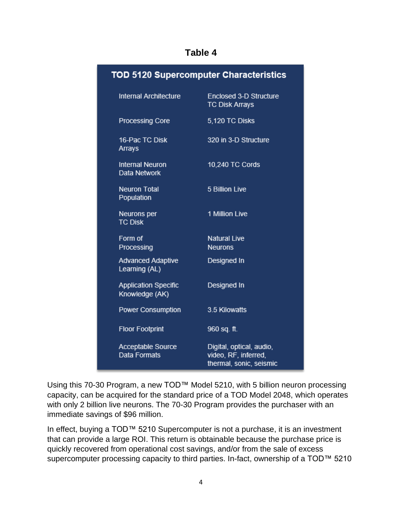### **Table 4**

| <b>TOD 5120 Supercomputer Characteristics</b> |                                                                             |  |
|-----------------------------------------------|-----------------------------------------------------------------------------|--|
| Internal Architecture                         | <b>Enclosed 3-D Structure</b><br><b>TC Disk Arrays</b>                      |  |
| <b>Processing Core</b>                        | 5,120 TC Disks                                                              |  |
| 16-Pac TC Disk<br>Arrays                      | 320 in 3-D Structure                                                        |  |
| Internal Neuron<br>Data Network               | 10,240 TC Cords                                                             |  |
| <b>Neuron Total</b><br>Population             | 5 Billion Live                                                              |  |
| Neurons per<br><b>TC Disk</b>                 | 1 Million Live                                                              |  |
| Form of<br>Processing                         | <b>Natural Live</b><br><b>Neurons</b>                                       |  |
| <b>Advanced Adaptive</b><br>Learning (AL)     | Designed In                                                                 |  |
| <b>Application Specific</b><br>Knowledge (AK) | Designed In                                                                 |  |
| <b>Power Consumption</b>                      | 3.5 Kilowatts                                                               |  |
| <b>Floor Footprint</b>                        | 960 sq. ft.                                                                 |  |
| Acceptable Source<br>Data Formats             | Digital, optical, audio,<br>video, RF, inferred,<br>thermal, sonic, seismic |  |

Using this 70-30 Program, a new TOD™ Model 5210, with 5 billion neuron processing capacity, can be acquired for the standard price of a TOD Model 2048, which operates with only 2 billion live neurons. The 70-30 Program provides the purchaser with an immediate savings of \$96 million.

In effect, buying a TOD™ 5210 Supercomputer is not a purchase, it is an investment that can provide a large ROI. This return is obtainable because the purchase price is quickly recovered from operational cost savings, and/or from the sale of excess supercomputer processing capacity to third parties. In-fact, ownership of a TOD™ 5210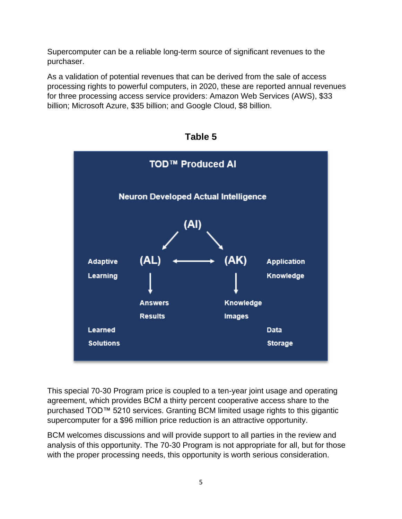Supercomputer can be a reliable long-term source of significant revenues to the purchaser.

As a validation of potential revenues that can be derived from the sale of access processing rights to powerful computers, in 2020, these are reported annual revenues for three processing access service providers: Amazon Web Services (AWS), \$33 billion; Microsoft Azure, \$35 billion; and Google Cloud, \$8 billion.



**Table 5**

This special 70-30 Program price is coupled to a ten-year joint usage and operating agreement, which provides BCM a thirty percent cooperative access share to the purchased TOD™ 5210 services. Granting BCM limited usage rights to this gigantic supercomputer for a \$96 million price reduction is an attractive opportunity.

BCM welcomes discussions and will provide support to all parties in the review and analysis of this opportunity. The 70-30 Program is not appropriate for all, but for those with the proper processing needs, this opportunity is worth serious consideration.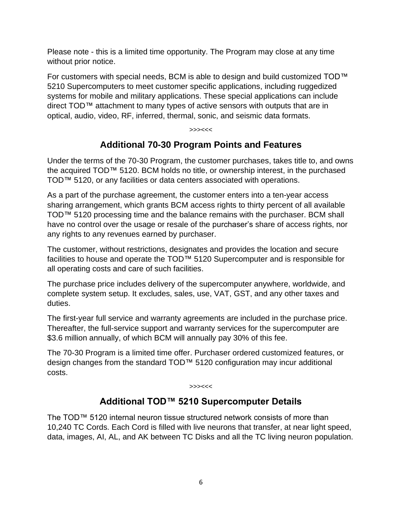Please note - this is a limited time opportunity. The Program may close at any time without prior notice.

For customers with special needs, BCM is able to design and build customized TOD™ 5210 Supercomputers to meet customer specific applications, including ruggedized systems for mobile and military applications. These special applications can include direct TOD™ attachment to many types of active sensors with outputs that are in optical, audio, video, RF, inferred, thermal, sonic, and seismic data formats.

#### >>><<<

# **Additional 70-30 Program Points and Features**

Under the terms of the 70-30 Program, the customer purchases, takes title to, and owns the acquired TOD™ 5120. BCM holds no title, or ownership interest, in the purchased TOD™ 5120, or any facilities or data centers associated with operations.

As a part of the purchase agreement, the customer enters into a ten-year access sharing arrangement, which grants BCM access rights to thirty percent of all available TOD™ 5120 processing time and the balance remains with the purchaser. BCM shall have no control over the usage or resale of the purchaser's share of access rights, nor any rights to any revenues earned by purchaser.

The customer, without restrictions, designates and provides the location and secure facilities to house and operate the TOD™ 5120 Supercomputer and is responsible for all operating costs and care of such facilities.

The purchase price includes delivery of the supercomputer anywhere, worldwide, and complete system setup. It excludes, sales, use, VAT, GST, and any other taxes and duties.

The first-year full service and warranty agreements are included in the purchase price. Thereafter, the full-service support and warranty services for the supercomputer are \$3.6 million annually, of which BCM will annually pay 30% of this fee.

The 70-30 Program is a limited time offer. Purchaser ordered customized features, or design changes from the standard TOD™ 5120 configuration may incur additional costs.

>>><<<

### **Additional TOD™ 5210 Supercomputer Details**

The TOD™ 5120 internal neuron tissue structured network consists of more than 10,240 TC Cords. Each Cord is filled with live neurons that transfer, at near light speed, data, images, AI, AL, and AK between TC Disks and all the TC living neuron population.